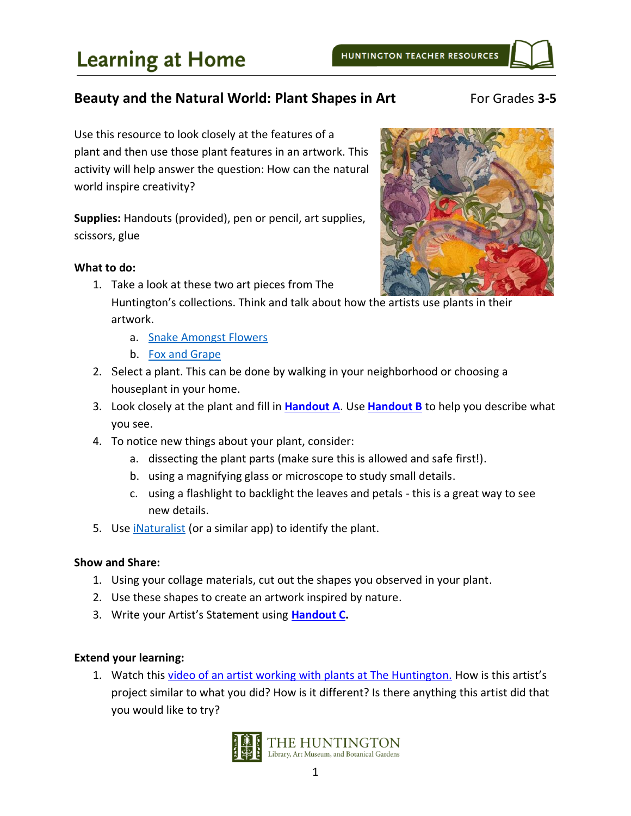# **Beauty and the Natural World: Plant Shapes in Art** For Grades 3-5

Use this resource to look closely at the features of a plant and then use those plant features in an artwork. This activity will help answer the question: How can the natural world inspire creativity?

**Supplies:** Handouts (provided), pen or pencil, art supplies, scissors, glue

### **What to do:**

- 1. Take a look at these two art pieces from The Huntington's collections. Think and talk about how the artists use plants in their artwork.
	- a. [Snake Amongst Flowers](https://huntington.emuseum.com/objects/52874/snake-amongst-flowers?ctx=16360f039b92b614f09d0b724b2f8f36dfbecc3a&idx=0)
	- b. [Fox and Grape](https://huntington.emuseum.com/objects/16746/fox-and-grape?ctx=0644ce8e091cb30ef1f30284d952d1c1cabd4996&idx=0)
- 2. Select a plant. This can be done by walking in your neighborhood or choosing a houseplant in your home.
- 3. Look closely at the plant and fill in **[Handout A](#page-2-0)**. Use **[Handout B](#page-2-1)** to help you describe what you see.
- 4. To notice new things about your plant, consider:
	- a. dissecting the plant parts (make sure this is allowed and safe first!).
	- b. using a magnifying glass or microscope to study small details.
	- c. using a flashlight to backlight the leaves and petals this is a great way to see new details.
- 5. Use *iNaturalist* (or a similar app) to identify the plant.

## **Show and Share:**

- 1. Using your collage materials, cut out the shapes you observed in your plant.
- 2. Use these shapes to create an artwork inspired by nature.
- 3. Write your Artist's Statement using **[Handout C.](#page-4-0)**

## **Extend your learning:**

1. Watch this [video of an artist working with plants at The Huntington.](https://www.youtube.com/watch?v=WuuS_c51hfI&list=UUdAV5So6ftxYlzcyiklvjzA&index=32) How is this artist's project similar to what you did? How is it different? Is there anything this artist did that you would like to try?



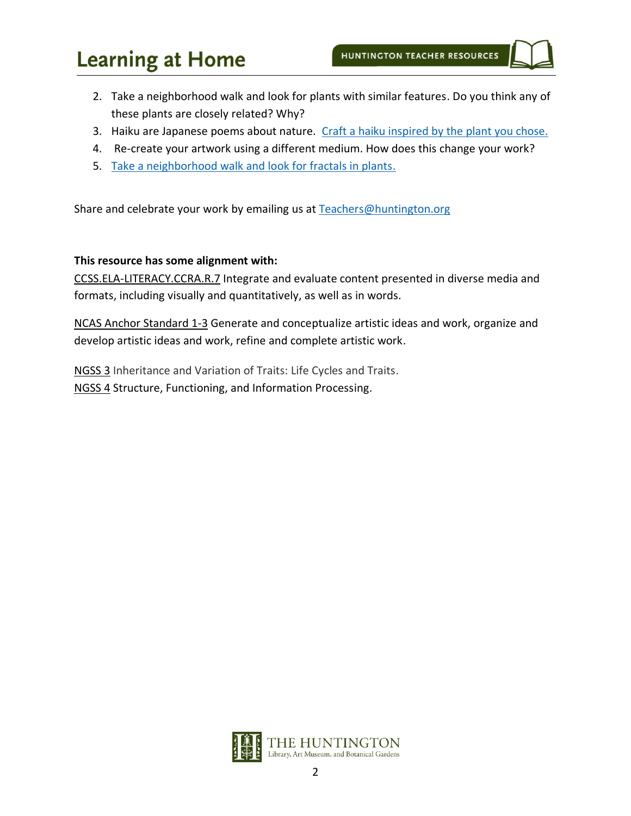# **Learning at Home**

- 2. Take a neighborhood walk and look for plants with similar features. Do you think any of these plants are closely related? Why?
- 3. Haiku are Japanese poems about nature. [Craft a haiku inspired by the plant you chose.](http://www.readwritethink.org/files/resources/printouts/30697_haiku.pdf)
- 4. Re-create your artwork using a different medium. How does this change your work?
- 5. [Take a neighborhood walk and look for fractals in plants.](https://fractalfoundation.org/resources/fractivities/scavenger-hunt/)

Share and celebrate your work by emailing us at [Teachers@huntington.org](mailto:Teachers@huntington.org)

#### **This resource has some alignment with:**

CCSS.ELA-LITERACY.CCRA.R.7 Integrate and evaluate content presented in diverse media and formats, including visually and quantitatively, as well as in words.

NCAS Anchor Standard 1-3 Generate and conceptualize artistic ideas and work, organize and develop artistic ideas and work, refine and complete artistic work.

NGSS 3 Inheritance and Variation of Traits: Life Cycles and Traits. NGSS 4 Structure, Functioning, and Information Processing.

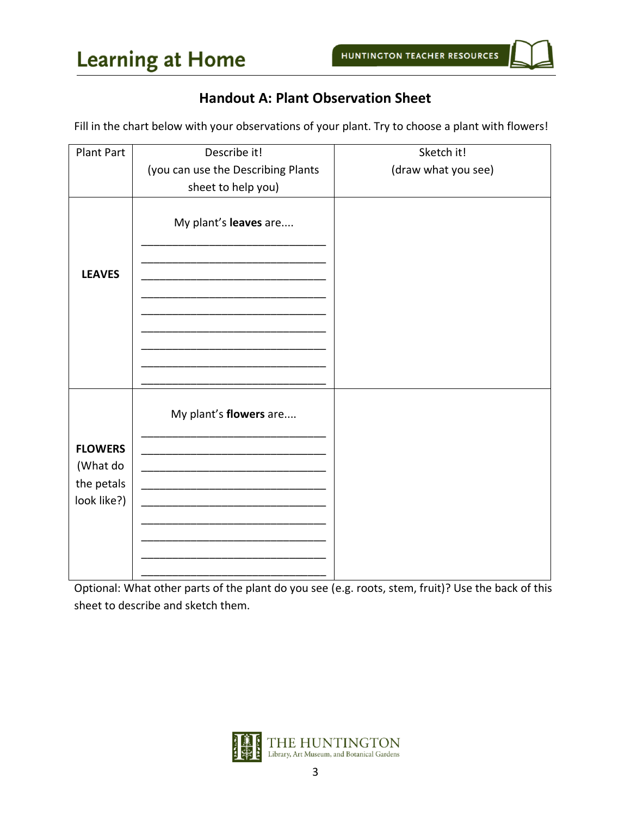# **Handout A: Plant Observation Sheet**

<span id="page-2-0"></span>Fill in the chart below with your observations of your plant. Try to choose a plant with flowers!

| <b>Plant Part</b> | Describe it!                       | Sketch it!          |
|-------------------|------------------------------------|---------------------|
|                   | (you can use the Describing Plants | (draw what you see) |
|                   | sheet to help you)                 |                     |
| <b>LEAVES</b>     | My plant's leaves are              |                     |
|                   |                                    |                     |
|                   | My plant's flowers are             |                     |
| <b>FLOWERS</b>    |                                    |                     |
| (What do          |                                    |                     |
| the petals        |                                    |                     |
| look like?)       |                                    |                     |
|                   |                                    |                     |
|                   |                                    |                     |
|                   |                                    |                     |
|                   |                                    |                     |

<span id="page-2-1"></span>Optional: What other parts of the plant do you see (e.g. roots, stem, fruit)? Use the back of this sheet to describe and sketch them.

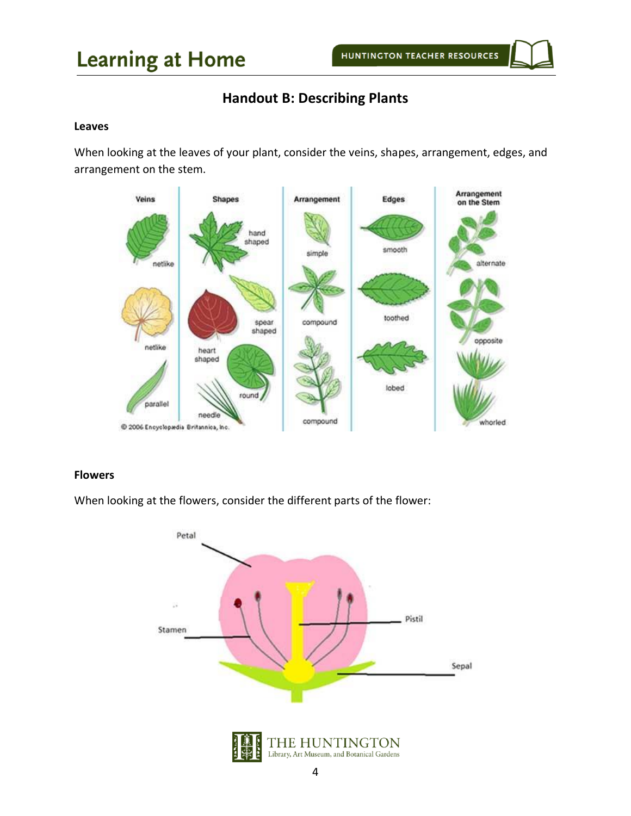# **Learning at Home**

# **Handout B: Describing Plants**

#### **Leaves**

When looking at the leaves of your plant, consider the veins, shapes, arrangement, edges, and arrangement on the stem.



#### **Flowers**

When looking at the flowers, consider the different parts of the flower: